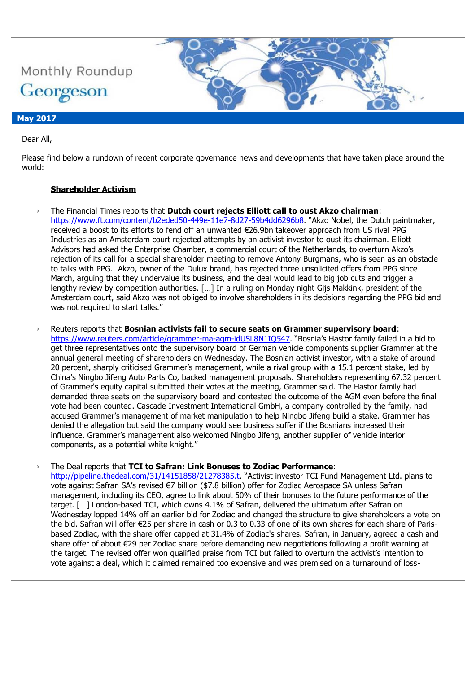

### **May 2017**

Dear All,

Please find below a rundown of recent corporate governance news and developments that have taken place around the world:

### **Shareholder Activism**

› The Financial Times reports that **Dutch court rejects Elliott call to oust Akzo chairman**: <https://www.ft.com/content/b2eded50-449e-11e7-8d27-59b4dd6296b8>. "Akzo Nobel, the Dutch paintmaker, received a boost to its efforts to fend off an unwanted €26.9bn takeover approach from US rival PPG Industries as an Amsterdam court rejected attempts by an activist investor to oust its chairman. Elliott Advisors had asked the Enterprise Chamber, a commercial court of the Netherlands, to overturn Akzo's rejection of its call for a special shareholder meeting to remove Antony Burgmans, who is seen as an obstacle to talks with PPG. Akzo, owner of the Dulux brand, has rejected three unsolicited offers from PPG since March, arguing that they undervalue its business, and the deal would lead to big job cuts and trigger a lengthy review by competition authorities. […] In a ruling on Monday night Gijs Makkink, president of the Amsterdam court, said Akzo was not obliged to involve shareholders in its decisions regarding the PPG bid and was not required to start talks."

› Reuters reports that **Bosnian activists fail to secure seats on Grammer supervisory board**: <https://www.reuters.com/article/grammer-ma-agm-idUSL8N1IQ547>. "Bosnia's Hastor family failed in a bid to get three representatives onto the supervisory board of German vehicle components supplier Grammer at the annual general meeting of shareholders on Wednesday. The Bosnian activist investor, with a stake of around 20 percent, sharply criticised Grammer's management, while a rival group with a 15.1 percent stake, led by China's Ningbo Jifeng Auto Parts Co, backed management proposals. Shareholders representing 67.32 percent of Grammer's equity capital submitted their votes at the meeting, Grammer said. The Hastor family had demanded three seats on the supervisory board and contested the outcome of the AGM even before the final vote had been counted. Cascade Investment International GmbH, a company controlled by the family, had accused Grammer's management of market manipulation to help Ningbo Jifeng build a stake. Grammer has denied the allegation but said the company would see business suffer if the Bosnians increased their influence. Grammer's management also welcomed Ningbo Jifeng, another supplier of vehicle interior components, as a potential white knight."

› The Deal reports that **TCI to Safran: Link Bonuses to Zodiac Performance**:

<http://pipeline.thedeal.com/31/14151858/21278385.t>. "Activist investor TCI Fund Management Ltd. plans to vote against Safran SA's revised €7 billion (\$7.8 billion) offer for Zodiac Aerospace SA unless Safran management, including its CEO, agree to link about 50% of their bonuses to the future performance of the target. […] London-based TCI, which owns 4.1% of Safran, delivered the ultimatum after Safran on Wednesday lopped 14% off an earlier bid for Zodiac and changed the structure to give shareholders a vote on the bid. Safran will offer €25 per share in cash or 0.3 to 0.33 of one of its own shares for each share of Parisbased Zodiac, with the share offer capped at 31.4% of Zodiac's shares. Safran, in January, agreed a cash and share offer of about €29 per Zodiac share before demanding new negotiations following a profit warning at the target. The revised offer won qualified praise from TCI but failed to overturn the activist's intention to vote against a deal, which it claimed remained too expensive and was premised on a turnaround of loss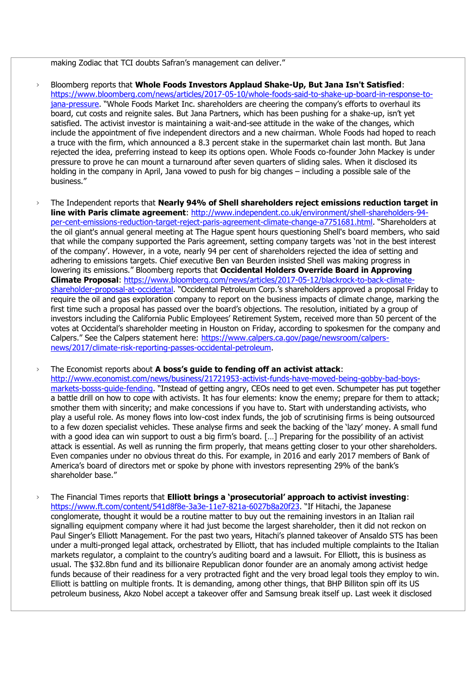making Zodiac that TCI doubts Safran's management can deliver."

- › Bloomberg reports that **Whole Foods Investors Applaud Shake-Up, But Jana Isn't Satisfied**: [https://www.bloomberg.com/news/articles/2017-05-10/whole-foods-said-to-shake-up-board-in-response-to](https://www.bloomberg.com/news/articles/2017-05-10/whole-foods-said-to-shake-up-board-in-response-to-jana-pressure)[jana-pressure](https://www.bloomberg.com/news/articles/2017-05-10/whole-foods-said-to-shake-up-board-in-response-to-jana-pressure). "Whole Foods Market Inc. shareholders are cheering the company's efforts to overhaul its board, cut costs and reignite sales. But Jana Partners, which has been pushing for a shake-up, isn't yet satisfied. The activist investor is maintaining a wait-and-see attitude in the wake of the changes, which include the appointment of five independent directors and a new chairman. Whole Foods had hoped to reach a truce with the firm, which announced a 8.3 percent stake in the supermarket chain last month. But Jana rejected the idea, preferring instead to keep its options open. Whole Foods co-founder John Mackey is under pressure to prove he can mount a turnaround after seven quarters of sliding sales. When it disclosed its holding in the company in April, Jana vowed to push for big changes – including a possible sale of the business."
- › The Independent reports that **Nearly 94% of Shell shareholders reject emissions reduction target in line with Paris climate agreement**: [http://www.independent.co.uk/environment/shell-shareholders-94](http://www.independent.co.uk/environment/shell-shareholders-94-per-cent-emissions-reduction-target-reject-paris-agreement-climate-change-a7751681.html) [per-cent-emissions-reduction-target-reject-paris-agreement-climate-change-a7751681.html](http://www.independent.co.uk/environment/shell-shareholders-94-per-cent-emissions-reduction-target-reject-paris-agreement-climate-change-a7751681.html). "Shareholders at the oil giant's annual general meeting at The Hague spent hours questioning Shell's board members, who said that while the company supported the Paris agreement, setting company targets was 'not in the best interest of the company'. However, in a vote, nearly 94 per cent of shareholders rejected the idea of setting and adhering to emissions targets. Chief executive Ben van Beurden insisted Shell was making progress in lowering its emissions." Bloomberg reports that **Occidental Holders Override Board in Approving Climate Proposal**: [https://www.bloomberg.com/news/articles/2017-05-12/blackrock-to-back-climate](https://www.bloomberg.com/news/articles/2017-05-12/blackrock-to-back-climate-shareholder-proposal-at-occidental)[shareholder-proposal-at-occidental](https://www.bloomberg.com/news/articles/2017-05-12/blackrock-to-back-climate-shareholder-proposal-at-occidental). "Occidental Petroleum Corp.'s shareholders approved a proposal Friday to require the oil and gas exploration company to report on the business impacts of climate change, marking the first time such a proposal has passed over the board's objections. The resolution, initiated by a group of investors including the California Public Employees' Retirement System, received more than 50 percent of the votes at Occidental's shareholder meeting in Houston on Friday, according to spokesmen for the company and Calpers." See the Calpers statement here: [https://www.calpers.ca.gov/page/newsroom/calpers](https://www.calpers.ca.gov/page/newsroom/calpers-news/2017/climate-risk-reporting-passes-occidental-petroleum)[news/2017/climate-risk-reporting-passes-occidental-petroleum.](https://www.calpers.ca.gov/page/newsroom/calpers-news/2017/climate-risk-reporting-passes-occidental-petroleum)

› The Economist reports about **A boss's guide to fending off an activist attack**: [http://www.economist.com/news/business/21721953-activist-funds-have-moved-being-gobby-bad-boys](http://www.economist.com/news/business/21721953-activist-funds-have-moved-being-gobby-bad-boys-markets-bosss-guide-fending)[markets-bosss-guide-fending](http://www.economist.com/news/business/21721953-activist-funds-have-moved-being-gobby-bad-boys-markets-bosss-guide-fending). "Instead of getting angry, CEOs need to get even. Schumpeter has put together a battle drill on how to cope with activists. It has four elements: know the enemy; prepare for them to attack; smother them with sincerity; and make concessions if you have to. Start with understanding activists, who play a useful role. As money flows into low-cost index funds, the job of scrutinising firms is being outsourced to a few dozen specialist vehicles. These analyse firms and seek the backing of the 'lazy' money. A small fund with a good idea can win support to oust a big firm's board. […] Preparing for the possibility of an activist attack is essential. As well as running the firm properly, that means getting closer to your other shareholders. Even companies under no obvious threat do this. For example, in 2016 and early 2017 members of Bank of America's board of directors met or spoke by phone with investors representing 29% of the bank's shareholder base."

› The Financial Times reports that **Elliott brings a 'prosecutorial' approach to activist investing**: <https://www.ft.com/content/541d8f8e-3a3e-11e7-821a-6027b8a20f23>. "If Hitachi, the Japanese conglomerate, thought it would be a routine matter to buy out the remaining investors in an Italian rail signalling equipment company where it had just become the largest shareholder, then it did not reckon on Paul Singer's Elliott Management. For the past two years, Hitachi's planned takeover of Ansaldo STS has been under a multi-pronged legal attack, orchestrated by Elliott, that has included multiple complaints to the Italian markets regulator, a complaint to the country's auditing board and a lawsuit. For Elliott, this is business as usual. The \$32.8bn fund and its billionaire Republican donor founder are an anomaly among activist hedge funds because of their readiness for a very protracted fight and the very broad legal tools they employ to win. Elliott is battling on multiple fronts. It is demanding, among other things, that BHP Billiton spin off its US petroleum business, Akzo Nobel accept a takeover offer and Samsung break itself up. Last week it disclosed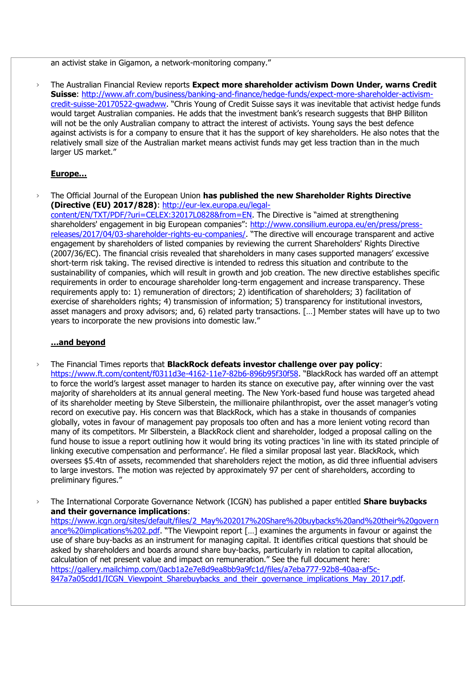an activist stake in Gigamon, a network-monitoring company."

› The Australian Financial Review reports **Expect more shareholder activism Down Under, warns Credit Suisse**: [http://www.afr.com/business/banking-and-finance/hedge-funds/expect-more-shareholder-activism](http://www.afr.com/business/banking-and-finance/hedge-funds/expect-more-shareholder-activism-credit-suisse-20170522-gwadww)[credit-suisse-20170522-gwadww](http://www.afr.com/business/banking-and-finance/hedge-funds/expect-more-shareholder-activism-credit-suisse-20170522-gwadww). "Chris Young of Credit Suisse says it was inevitable that activist hedge funds would target Australian companies. He adds that the investment bank's research suggests that BHP Billiton will not be the only Australian company to attract the interest of activists. Young says the best defence against activists is for a company to ensure that it has the support of key shareholders. He also notes that the relatively small size of the Australian market means activist funds may get less traction than in the much larger US market."

#### **Europe…**

› The Official Journal of the European Union **has published the new Shareholder Rights Directive (Directive (EU) 2017/828)**: [http://eur-lex.europa.eu/legal](http://eur-lex.europa.eu/legal-content/EN/TXT/PDF/?uri=CELEX:32017L0828&from=EN)[content/EN/TXT/PDF/?uri=CELEX:32017L0828&from=EN](http://eur-lex.europa.eu/legal-content/EN/TXT/PDF/?uri=CELEX:32017L0828&from=EN). The Directive is "aimed at strengthening shareholders' engagement in big European companies": [http://www.consilium.europa.eu/en/press/press](http://www.consilium.europa.eu/en/press/press-releases/2017/04/03-shareholder-rights-eu-companies/)[releases/2017/04/03-shareholder-rights-eu-companies/](http://www.consilium.europa.eu/en/press/press-releases/2017/04/03-shareholder-rights-eu-companies/). "The directive will encourage transparent and active engagement by shareholders of listed companies by reviewing the current Shareholders' Rights Directive (2007/36/EC). The financial crisis revealed that shareholders in many cases supported managers' excessive short-term risk taking. The revised directive is intended to redress this situation and contribute to the sustainability of companies, which will result in growth and job creation. The new directive establishes specific requirements in order to encourage shareholder long-term engagement and increase transparency. These requirements apply to: 1) remuneration of directors; 2) identification of shareholders; 3) facilitation of exercise of shareholders rights; 4) transmission of information; 5) transparency for institutional investors, asset managers and proxy advisors; and, 6) related party transactions. […] Member states will have up to two years to incorporate the new provisions into domestic law."

#### **…and beyond**

- › The Financial Times reports that **BlackRock defeats investor challenge over pay policy**: <https://www.ft.com/content/f0311d3e-4162-11e7-82b6-896b95f30f58>. "BlackRock has warded off an attempt to force the world's largest asset manager to harden its stance on executive pay, after winning over the vast majority of shareholders at its annual general meeting. The New York-based fund house was targeted ahead of its shareholder meeting by Steve Silberstein, the millionaire philanthropist, over the asset manager's voting record on executive pay. His concern was that BlackRock, which has a stake in thousands of companies globally, votes in favour of management pay proposals too often and has a more lenient voting record than many of its competitors. Mr Silberstein, a BlackRock client and shareholder, lodged a proposal calling on the fund house to issue a report outlining how it would bring its voting practices 'in line with its stated principle of linking executive compensation and performance'. He filed a similar proposal last year. BlackRock, which oversees \$5.4tn of assets, recommended that shareholders reject the motion, as did three influential advisers to large investors. The motion was rejected by approximately 97 per cent of shareholders, according to preliminary figures."
- › The International Corporate Governance Network (ICGN) has published a paper entitled **Share buybacks and their governance implications**: [https://www.icgn.org/sites/default/files/2\\_May%202017%20Share%20buybacks%20and%20their%20govern](https://www.icgn.org/sites/default/files/2_May%202017%20Share%20buybacks%20and%20their%20governance%20implications%202.pdf) [ance%20implications%202.pdf](https://www.icgn.org/sites/default/files/2_May%202017%20Share%20buybacks%20and%20their%20governance%20implications%202.pdf). "The Viewpoint report […] examines the arguments in favour or against the use of share buy-backs as an instrument for managing capital. It identifies critical questions that should be asked by shareholders and boards around share buy-backs, particularly in relation to capital allocation, calculation of net present value and impact on remuneration." See the full document here: [https://gallery.mailchimp.com/0acb1a2e7e8d9ea8bb9a9fc1d/files/a7eba777-92b8-40aa-af5c-](https://gallery.mailchimp.com/0acb1a2e7e8d9ea8bb9a9fc1d/files/a7eba777-92b8-40aa-af5c-847a7a05cdd1/ICGN_Viewpoint_Sharebuybacks_and_their_governance_implications_May_2017.pdf)[847a7a05cdd1/ICGN\\_Viewpoint\\_Sharebuybacks\\_and\\_their\\_governance\\_implications\\_May\\_2017.pdf.](https://gallery.mailchimp.com/0acb1a2e7e8d9ea8bb9a9fc1d/files/a7eba777-92b8-40aa-af5c-847a7a05cdd1/ICGN_Viewpoint_Sharebuybacks_and_their_governance_implications_May_2017.pdf)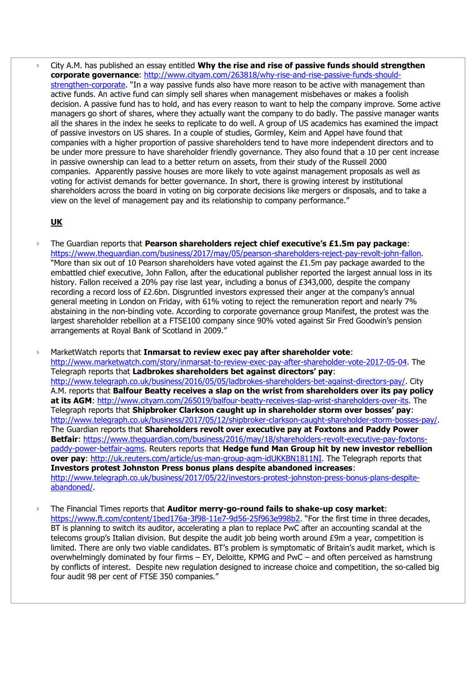› City A.M. has published an essay entitled **Why the rise and rise of passive funds should strengthen corporate governance**: [http://www.cityam.com/263818/why-rise-and-rise-passive-funds-should](http://www.cityam.com/263818/why-rise-and-rise-passive-funds-should-strengthen-corporate)[strengthen-corporate](http://www.cityam.com/263818/why-rise-and-rise-passive-funds-should-strengthen-corporate). "In a way passive funds also have more reason to be active with management than active funds. An active fund can simply sell shares when management misbehaves or makes a foolish decision. A passive fund has to hold, and has every reason to want to help the company improve. Some active managers go short of shares, where they actually want the company to do badly. The passive manager wants all the shares in the index he seeks to replicate to do well. A group of US academics has examined the impact of passive investors on US shares. In a couple of studies, Gormley, Keim and Appel have found that companies with a higher proportion of passive shareholders tend to have more independent directors and to be under more pressure to have shareholder friendly governance. They also found that a 10 per cent increase in passive ownership can lead to a better return on assets, from their study of the Russell 2000 companies. Apparently passive houses are more likely to vote against management proposals as well as voting for activist demands for better governance. In short, there is growing interest by institutional shareholders across the board in voting on big corporate decisions like mergers or disposals, and to take a view on the level of management pay and its relationship to company performance."

### **UK**

- › The Guardian reports that **Pearson shareholders reject chief executive's £1.5m pay package**: [https://www.theguardian.com/business/2017/may/05/pearson-shareholders-reject-pay-revolt-john-fallon.](https://www.theguardian.com/business/2017/may/05/pearson-shareholders-reject-pay-revolt-john-fallon) "More than six out of 10 Pearson shareholders have voted against the £1.5m pay package awarded to the embattled chief executive, John Fallon, after the educational publisher reported the largest annual loss in its history. Fallon received a 20% pay rise last year, including a bonus of £343,000, despite the company recording a record loss of £2.6bn. Disgruntled investors expressed their anger at the company's annual general meeting in London on Friday, with 61% voting to reject the remuneration report and nearly 7% abstaining in the non-binding vote. According to corporate governance group Manifest, the protest was the largest shareholder rebellion at a FTSE100 company since 90% voted against Sir Fred Goodwin's pension arrangements at Royal Bank of Scotland in 2009."
- › MarketWatch reports that **Inmarsat to review exec pay after shareholder vote**: [http://www.marketwatch.com/story/inmarsat-to-review-exec-pay-after-shareholder-vote-2017-05-04.](http://www.marketwatch.com/story/inmarsat-to-review-exec-pay-after-shareholder-vote-2017-05-04) The Telegraph reports that **Ladbrokes shareholders bet against directors' pay**: [http://www.telegraph.co.uk/business/2016/05/05/ladbrokes-shareholders-bet-against-directors-pay/.](http://www.telegraph.co.uk/business/2016/05/05/ladbrokes-shareholders-bet-against-directors-pay/) City A.M. reports that **Balfour Beatty receives a slap on the wrist from shareholders over its pay policy at its AGM**: [http://www.cityam.com/265019/balfour-beatty-receives-slap-wrist-shareholders-over-its.](http://www.cityam.com/265019/balfour-beatty-receives-slap-wrist-shareholders-over-its) The Telegraph reports that **Shipbroker Clarkson caught up in shareholder storm over bosses' pay**: [http://www.telegraph.co.uk/business/2017/05/12/shipbroker-clarkson-caught-shareholder-storm-bosses-pay/.](http://www.telegraph.co.uk/business/2017/05/12/shipbroker-clarkson-caught-shareholder-storm-bosses-pay/) The Guardian reports that **Shareholders revolt over executive pay at Foxtons and Paddy Power Betfair**: [https://www.theguardian.com/business/2016/may/18/shareholders-revolt-executive-pay-foxtons](https://www.theguardian.com/business/2016/may/18/shareholders-revolt-executive-pay-foxtons-paddy-power-betfair-agms)[paddy-power-betfair-agms.](https://www.theguardian.com/business/2016/may/18/shareholders-revolt-executive-pay-foxtons-paddy-power-betfair-agms) Reuters reports that **Hedge fund Man Group hit by new investor rebellion over pay**: [http://uk.reuters.com/article/us-man-group-agm-idUKKBN1811NI.](http://uk.reuters.com/article/us-man-group-agm-idUKKBN1811NI) The Telegraph reports that **Investors protest Johnston Press bonus plans despite abandoned increases**: [http://www.telegraph.co.uk/business/2017/05/22/investors-protest-johnston-press-bonus-plans-despite](http://www.telegraph.co.uk/business/2017/05/22/investors-protest-johnston-press-bonus-plans-despite-abandoned/)[abandoned/.](http://www.telegraph.co.uk/business/2017/05/22/investors-protest-johnston-press-bonus-plans-despite-abandoned/)
- › The Financial Times reports that **Auditor merry-go-round fails to shake-up cosy market**: <https://www.ft.com/content/1bed176a-3f98-11e7-9d56-25f963e998b2>. "For the first time in three decades, BT is planning to switch its auditor, accelerating a plan to replace PwC after an accounting scandal at the telecoms group's Italian division. But despite the audit job being worth around £9m a year, competition is limited. There are only two viable candidates. BT's problem is symptomatic of Britain's audit market, which is overwhelmingly dominated by four firms – EY, Deloitte, KPMG and PwC – and often perceived as hamstrung by conflicts of interest. Despite new regulation designed to increase choice and competition, the so-called big four audit 98 per cent of FTSE 350 companies."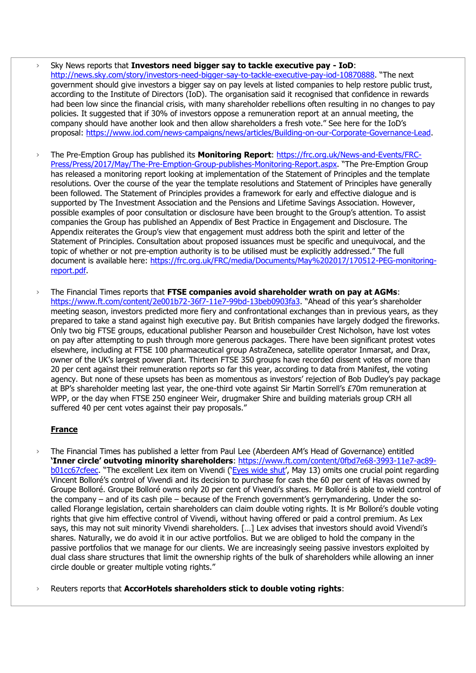- › Sky News reports that **Investors need bigger say to tackle executive pay - IoD**: <http://news.sky.com/story/investors-need-bigger-say-to-tackle-executive-pay-iod-10870888>. "The next government should give investors a bigger say on pay levels at listed companies to help restore public trust, according to the Institute of Directors (IoD). The organisation said it recognised that confidence in rewards had been low since the financial crisis, with many shareholder rebellions often resulting in no changes to pay policies. It suggested that if 30% of investors oppose a remuneration report at an annual meeting, the company should have another look and then allow shareholders a fresh vote." See here for the IoD's proposal: [https://www.iod.com/news-campaigns/news/articles/Building-on-our-Corporate-Governance-Lead.](https://www.iod.com/news-campaigns/news/articles/Building-on-our-Corporate-Governance-Lead)
- › The Pre-Emption Group has published its **Monitoring Report**: [https://frc.org.uk/News-and-Events/FRC-](https://frc.org.uk/News-and-Events/FRC-Press/Press/2017/May/The-Pre-Emption-Group-publishes-Monitoring-Report.aspx)[Press/Press/2017/May/The-Pre-Emption-Group-publishes-Monitoring-Report.aspx](https://frc.org.uk/News-and-Events/FRC-Press/Press/2017/May/The-Pre-Emption-Group-publishes-Monitoring-Report.aspx). "The Pre-Emption Group has released a monitoring report looking at implementation of the Statement of Principles and the template resolutions. Over the course of the year the template resolutions and Statement of Principles have generally been followed. The Statement of Principles provides a framework for early and effective dialogue and is supported by The Investment Association and the Pensions and Lifetime Savings Association. However, possible examples of poor consultation or disclosure have been brought to the Group's attention. To assist companies the Group has published an Appendix of Best Practice in Engagement and Disclosure. The Appendix reiterates the Group's view that engagement must address both the spirit and letter of the Statement of Principles. Consultation about proposed issuances must be specific and unequivocal, and the topic of whether or not pre-emption authority is to be utilised must be explicitly addressed." The full document is available here: [https://frc.org.uk/FRC/media/Documents/May%202017/170512-PEG-monitoring](https://frc.org.uk/FRC/media/Documents/May%202017/170512-PEG-monitoring-report.pdf)[report.pdf.](https://frc.org.uk/FRC/media/Documents/May%202017/170512-PEG-monitoring-report.pdf)
- › The Financial Times reports that **FTSE companies avoid shareholder wrath on pay at AGMs**: <https://www.ft.com/content/2e001b72-36f7-11e7-99bd-13beb0903fa3>. "Ahead of this year's shareholder meeting season, investors predicted more fiery and confrontational exchanges than in previous years, as they prepared to take a stand against high executive pay. But British companies have largely dodged the fireworks. Only two big FTSE groups, educational publisher Pearson and housebuilder Crest Nicholson, have lost votes on pay after attempting to push through more generous packages. There have been significant protest votes elsewhere, including at FTSE 100 pharmaceutical group AstraZeneca, satellite operator Inmarsat, and Drax, owner of the UK's largest power plant. Thirteen FTSE 350 groups have recorded dissent votes of more than 20 per cent against their remuneration reports so far this year, according to data from Manifest, the voting agency. But none of these upsets has been as momentous as investors' rejection of Bob Dudley's pay package at BP's shareholder meeting last year, the one-third vote against Sir Martin Sorrell's £70m remuneration at WPP, or the day when FTSE 250 engineer Weir, drugmaker Shire and building materials group CRH all suffered 40 per cent votes against their pay proposals."

# **France**

› The Financial Times has published a letter from Paul Lee (Aberdeen AM's Head of Governance) entitled **'Inner circle' outvoting minority shareholders**: [https://www.ft.com/content/0fbd7e68-3993-11e7-ac89](https://www.ft.com/content/0fbd7e68-3993-11e7-ac89-b01cc67cfeec) [b01cc67cfeec](https://www.ft.com/content/0fbd7e68-3993-11e7-ac89-b01cc67cfeec). "The excellent Lex item on Vivendi ('[Eyes wide shut](https://www.ft.com/content/6f15fe38-370b-11e7-99bd-13beb0903fa3)', May 13) omits one crucial point regarding Vincent Bolloré's control of Vivendi and its decision to purchase for cash the 60 per cent of Havas owned by Groupe Bolloré. Groupe Bolloré owns only 20 per cent of Vivendi's shares. Mr Bolloré is able to wield control of the company – and of its cash pile – because of the French government's gerrymandering. Under the socalled Florange legislation, certain shareholders can claim double voting rights. It is Mr Bolloré's double voting rights that give him effective control of Vivendi, without having offered or paid a control premium. As Lex says, this may not suit minority Vivendi shareholders. [...] Lex advises that investors should avoid Vivendi's shares. Naturally, we do avoid it in our active portfolios. But we are obliged to hold the company in the passive portfolios that we manage for our clients. We are increasingly seeing passive investors exploited by dual class share structures that limit the ownership rights of the bulk of shareholders while allowing an inner circle double or greater multiple voting rights."

› Reuters reports that **AccorHotels shareholders stick to double voting rights**: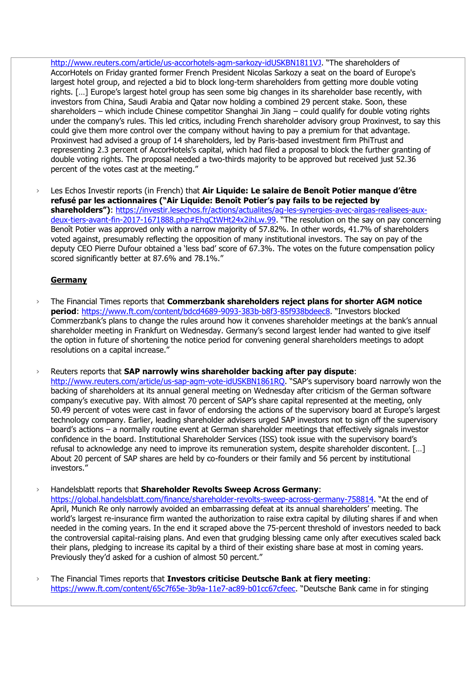<http://www.reuters.com/article/us-accorhotels-agm-sarkozy-idUSKBN1811VJ>. "The shareholders of AccorHotels on Friday granted former French President Nicolas Sarkozy a seat on the board of Europe's largest hotel group, and rejected a bid to block long-term shareholders from getting more double voting rights. […] Europe's largest hotel group has seen some big changes in its shareholder base recently, with investors from China, Saudi Arabia and Qatar now holding a combined 29 percent stake. Soon, these shareholders – which include Chinese competitor Shanghai Jin Jiang – could qualify for double voting rights under the company's rules. This led critics, including French shareholder advisory group Proxinvest, to say this could give them more control over the company without having to pay a premium for that advantage. Proxinvest had advised a group of 14 shareholders, led by Paris-based investment firm PhiTrust and representing 2.3 percent of AccorHotels's capital, which had filed a proposal to block the further granting of double voting rights. The proposal needed a two-thirds majority to be approved but received just 52.36 percent of the votes cast at the meeting."

› Les Echos Investir reports (in French) that **Air Liquide: Le salaire de Benoît Potier manque d'être refusé par les actionnaires ("Air Liquide: Benoît Potier's pay fails to be rejected by shareholders")**: [https://investir.lesechos.fr/actions/actualites/ag-les-synergies-avec-airgas-realisees-aux](https://investir.lesechos.fr/actions/actualites/ag-les-synergies-avec-airgas-realisees-aux-deux-tiers-avant-fin-2017-1671888.php#EhqCtWHt24x2ihLw.99)[deux-tiers-avant-fin-2017-1671888.php#EhqCtWHt24x2ihLw.99](https://investir.lesechos.fr/actions/actualites/ag-les-synergies-avec-airgas-realisees-aux-deux-tiers-avant-fin-2017-1671888.php#EhqCtWHt24x2ihLw.99). "The resolution on the say on pay concerning Benoît Potier was approved only with a narrow majority of 57.82%. In other words, 41.7% of shareholders voted against, presumably reflecting the opposition of many institutional investors. The say on pay of the deputy CEO Pierre Dufour obtained a 'less bad' score of 67.3%. The votes on the future compensation policy scored significantly better at 87.6% and 78.1%."

#### **Germany**

› The Financial Times reports that **Commerzbank shareholders reject plans for shorter AGM notice period**:<https://www.ft.com/content/bdcd4689-9093-383b-b8f3-85f938bdeec8>. "Investors blocked Commerzbank's plans to change the rules around how it convenes shareholder meetings at the bank's annual shareholder meeting in Frankfurt on Wednesday. Germany's second largest lender had wanted to give itself the option in future of shortening the notice period for convening general shareholders meetings to adopt resolutions on a capital increase."

› Reuters reports that **SAP narrowly wins shareholder backing after pay dispute**: <http://www.reuters.com/article/us-sap-agm-vote-idUSKBN1861RQ>. "SAP's supervisory board narrowly won the backing of shareholders at its annual general meeting on Wednesday after criticism of the German software company's executive pay. With almost 70 percent of SAP's share capital represented at the meeting, only 50.49 percent of votes were cast in favor of endorsing the actions of the supervisory board at Europe's largest technology company. Earlier, leading shareholder advisers urged SAP investors not to sign off the supervisory board's actions – a normally routine event at German shareholder meetings that effectively signals investor confidence in the board. Institutional Shareholder Services (ISS) took issue with the supervisory board's refusal to acknowledge any need to improve its remuneration system, despite shareholder discontent. […] About 20 percent of SAP shares are held by co-founders or their family and 56 percent by institutional investors."

› Handelsblatt reports that **Shareholder Revolts Sweep Across Germany**:

<https://global.handelsblatt.com/finance/shareholder-revolts-sweep-across-germany-758814>. "At the end of April, Munich Re only narrowly avoided an embarrassing defeat at its annual shareholders' meeting. The world's largest re-insurance firm wanted the authorization to raise extra capital by diluting shares if and when needed in the coming years. In the end it scraped above the 75-percent threshold of investors needed to back the controversial capital-raising plans. And even that grudging blessing came only after executives scaled back their plans, pledging to increase its capital by a third of their existing share base at most in coming years. Previously they'd asked for a cushion of almost 50 percent."

› The Financial Times reports that **Investors criticise Deutsche Bank at fiery meeting**: <https://www.ft.com/content/65c7f65e-3b9a-11e7-ac89-b01cc67cfeec>. "Deutsche Bank came in for stinging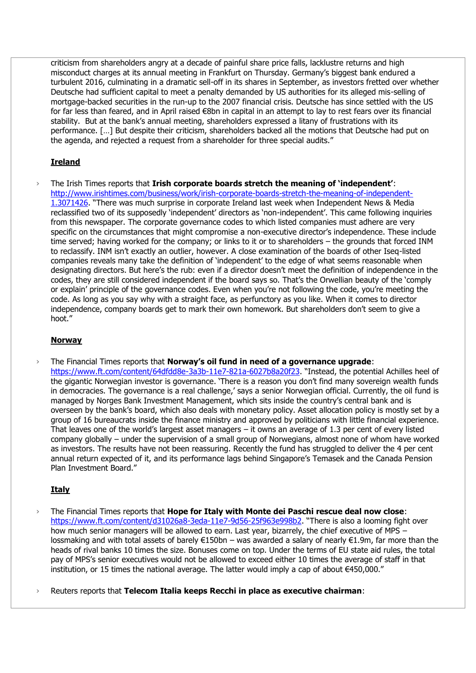criticism from shareholders angry at a decade of painful share price falls, lacklustre returns and high misconduct charges at its annual meeting in Frankfurt on Thursday. Germany's biggest bank endured a turbulent 2016, culminating in a dramatic sell-off in its shares in September, as investors fretted over whether Deutsche had sufficient capital to meet a penalty demanded by US authorities for its alleged mis-selling of mortgage-backed securities in the run-up to the 2007 financial crisis. Deutsche has since settled with the US for far less than feared, and in April raised €8bn in capital in an attempt to lay to rest fears over its financial stability. But at the bank's annual meeting, shareholders expressed a litany of frustrations with its performance. […] But despite their criticism, shareholders backed all the motions that Deutsche had put on the agenda, and rejected a request from a shareholder for three special audits."

# **Ireland**

› The Irish Times reports that **Irish corporate boards stretch the meaning of 'independent'**: [http://www.irishtimes.com/business/work/irish-corporate-boards-stretch-the-meaning-of-independent-](http://www.irishtimes.com/business/work/irish-corporate-boards-stretch-the-meaning-of-independent-1.3071426)[1.3071426](http://www.irishtimes.com/business/work/irish-corporate-boards-stretch-the-meaning-of-independent-1.3071426). "There was much surprise in corporate Ireland last week when Independent News & Media reclassified two of its supposedly 'independent' directors as 'non-independent'. This came following inquiries from this newspaper. The corporate governance codes to which listed companies must adhere are very specific on the circumstances that might compromise a non-executive director's independence. These include time served; having worked for the company; or links to it or to shareholders – the grounds that forced INM to reclassify. INM isn't exactly an outlier, however. A close examination of the boards of other Iseq-listed companies reveals many take the definition of 'independent' to the edge of what seems reasonable when designating directors. But here's the rub: even if a director doesn't meet the definition of independence in the codes, they are still considered independent if the board says so. That's the Orwellian beauty of the 'comply or explain' principle of the governance codes. Even when you're not following the code, you're meeting the code. As long as you say why with a straight face, as perfunctory as you like. When it comes to director independence, company boards get to mark their own homework. But shareholders don't seem to give a hoot."

# **Norway**

› The Financial Times reports that **Norway's oil fund in need of a governance upgrade**: <https://www.ft.com/content/64dfdd8e-3a3b-11e7-821a-6027b8a20f23>. "Instead, the potential Achilles heel of the gigantic Norwegian investor is governance. 'There is a reason you don't find many sovereign wealth funds in democracies. The governance is a real challenge,' says a senior Norwegian official. Currently, the oil fund is managed by Norges Bank Investment Management, which sits inside the country's central bank and is overseen by the bank's board, which also deals with monetary policy. Asset allocation policy is mostly set by a group of 16 bureaucrats inside the finance ministry and approved by politicians with little financial experience. That leaves one of the world's largest asset managers  $-$  it owns an average of 1.3 per cent of every listed company globally – under the supervision of a small group of Norwegians, almost none of whom have worked as investors. The results have not been reassuring. Recently the fund has struggled to deliver the 4 per cent annual return expected of it, and its performance lags behind Singapore's Temasek and the Canada Pension Plan Investment Board."

# **Italy**

› The Financial Times reports that **Hope for Italy with Monte dei Paschi rescue deal now close**: <https://www.ft.com/content/d31026a8-3eda-11e7-9d56-25f963e998b2>. "There is also a looming fight over how much senior managers will be allowed to earn. Last year, bizarrely, the chief executive of MPS – lossmaking and with total assets of barely €150bn – was awarded a salary of nearly €1.9m, far more than the heads of rival banks 10 times the size. Bonuses come on top. Under the terms of EU state aid rules, the total pay of MPS's senior executives would not be allowed to exceed either 10 times the average of staff in that institution, or 15 times the national average. The latter would imply a cap of about €450,000."

› Reuters reports that **Telecom Italia keeps Recchi in place as executive chairman**: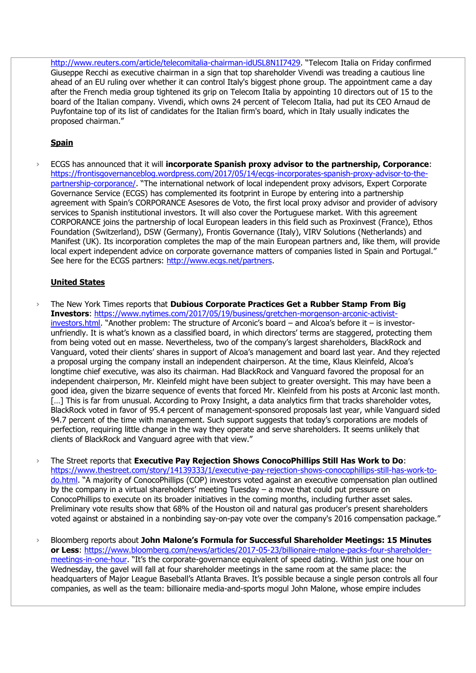<http://www.reuters.com/article/telecomitalia-chairman-idUSL8N1I7429>. "Telecom Italia on Friday confirmed Giuseppe Recchi as executive chairman in a sign that top shareholder Vivendi was treading a cautious line ahead of an EU ruling over whether it can control Italy's biggest phone group. The appointment came a day after the French media group tightened its grip on Telecom Italia by appointing 10 directors out of 15 to the board of the Italian company. Vivendi, which owns 24 percent of Telecom Italia, had put its CEO Arnaud de Puyfontaine top of its list of candidates for the Italian firm's board, which in Italy usually indicates the proposed chairman."

#### **Spain**

› ECGS has announced that it will **incorporate Spanish proxy advisor to the partnership, Corporance**: [https://frontisgovernanceblog.wordpress.com/2017/05/14/ecgs-incorporates-spanish-proxy-advisor-to-the](https://frontisgovernanceblog.wordpress.com/2017/05/14/ecgs-incorporates-spanish-proxy-advisor-to-the-partnership-corporance/)[partnership-corporance/](https://frontisgovernanceblog.wordpress.com/2017/05/14/ecgs-incorporates-spanish-proxy-advisor-to-the-partnership-corporance/). "The international network of local independent proxy advisors, Expert Corporate Governance Service (ECGS) has complemented its footprint in Europe by entering into a partnership agreement with Spain's CORPORANCE Asesores de Voto, the first local proxy advisor and provider of advisory services to Spanish institutional investors. It will also cover the Portuguese market. With this agreement CORPORANCE joins the partnership of local European leaders in this field such as Proxinvest (France), Ethos Foundation (Switzerland), DSW (Germany), Frontis Governance (Italy), VIRV Solutions (Netherlands) and Manifest (UK). Its incorporation completes the map of the main European partners and, like them, will provide local expert independent advice on corporate governance matters of companies listed in Spain and Portugal." See here for the ECGS partners: [http://www.ecgs.net/partners.](http://www.ecgs.net/partners)

### **United States**

- › The New York Times reports that **Dubious Corporate Practices Get a Rubber Stamp From Big Investors**: [https://www.nytimes.com/2017/05/19/business/gretchen-morgenson-arconic-activist](https://www.nytimes.com/2017/05/19/business/gretchen-morgenson-arconic-activist-investors.html)[investors.html](https://www.nytimes.com/2017/05/19/business/gretchen-morgenson-arconic-activist-investors.html). "Another problem: The structure of Arconic's board – and Alcoa's before it – is investorunfriendly. It is what's known as a classified board, in which directors' terms are staggered, protecting them from being voted out en masse. Nevertheless, two of the company's largest shareholders, BlackRock and Vanguard, voted their clients' shares in support of Alcoa's management and board last year. And they rejected a proposal urging the company install an independent chairperson. At the time, Klaus Kleinfeld, Alcoa's longtime chief executive, was also its chairman. Had BlackRock and Vanguard favored the proposal for an independent chairperson, Mr. Kleinfeld might have been subject to greater oversight. This may have been a good idea, given the bizarre sequence of events that forced Mr. Kleinfeld from his posts at Arconic last month. [...] This is far from unusual. According to Proxy Insight, a data analytics firm that tracks shareholder votes, BlackRock voted in favor of 95.4 percent of management-sponsored proposals last year, while Vanguard sided 94.7 percent of the time with management. Such support suggests that today's corporations are models of perfection, requiring little change in the way they operate and serve shareholders. It seems unlikely that clients of BlackRock and Vanguard agree with that view."
- › The Street reports that **Executive Pay Rejection Shows ConocoPhillips Still Has Work to Do**: [https://www.thestreet.com/story/14139333/1/executive-pay-rejection-shows-conocophillips-still-has-work-to](https://www.thestreet.com/story/14139333/1/executive-pay-rejection-shows-conocophillips-still-has-work-to-do.html)[do.html](https://www.thestreet.com/story/14139333/1/executive-pay-rejection-shows-conocophillips-still-has-work-to-do.html). "A majority of ConocoPhillips (COP) investors voted against an executive compensation plan outlined by the company in a virtual shareholders' meeting Tuesday – a move that could put pressure on ConocoPhillips to execute on its broader initiatives in the coming months, including further asset sales. Preliminary vote results show that 68% of the Houston oil and natural gas producer's present shareholders voted against or abstained in a nonbinding say-on-pay vote over the company's 2016 compensation package."
- › Bloomberg reports about **John Malone's Formula for Successful Shareholder Meetings: 15 Minutes or Less**: [https://www.bloomberg.com/news/articles/2017-05-23/billionaire-malone-packs-four-shareholder](https://www.bloomberg.com/news/articles/2017-05-23/billionaire-malone-packs-four-shareholder-meetings-in-one-hour)[meetings-in-one-hour](https://www.bloomberg.com/news/articles/2017-05-23/billionaire-malone-packs-four-shareholder-meetings-in-one-hour). "It's the corporate-governance equivalent of speed dating. Within just one hour on Wednesday, the gavel will fall at four shareholder meetings in the same room at the same place: the headquarters of Major League Baseball's Atlanta Braves. It's possible because a single person controls all four companies, as well as the team: billionaire media-and-sports mogul John Malone, whose empire includes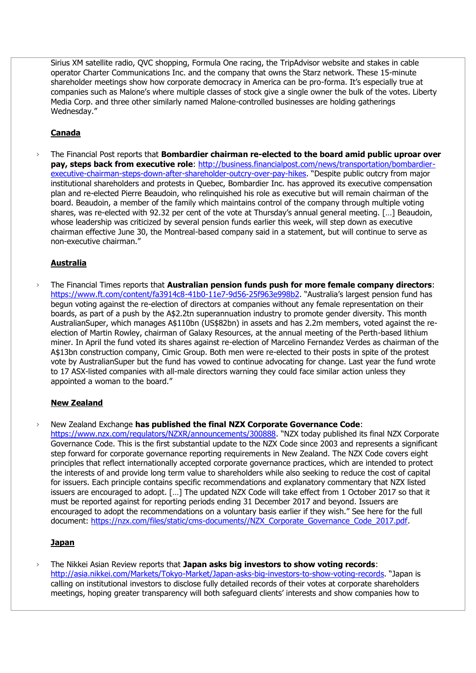Sirius XM satellite radio, QVC shopping, Formula One racing, the TripAdvisor website and stakes in cable operator Charter Communications Inc. and the company that owns the Starz network. These 15-minute shareholder meetings show how corporate democracy in America can be pro-forma. It's especially true at companies such as Malone's where multiple classes of stock give a single owner the bulk of the votes. Liberty Media Corp. and three other similarly named Malone-controlled businesses are holding gatherings Wednesday."

# **Canada**

› The Financial Post reports that **Bombardier chairman re-elected to the board amid public uproar over pay, steps back from executive role**: [http://business.financialpost.com/news/transportation/bombardier](http://business.financialpost.com/news/transportation/bombardier-executive-chairman-steps-down-after-shareholder-outcry-over-pay-hikes)[executive-chairman-steps-down-after-shareholder-outcry-over-pay-hikes](http://business.financialpost.com/news/transportation/bombardier-executive-chairman-steps-down-after-shareholder-outcry-over-pay-hikes). "Despite public outcry from major institutional shareholders and protests in Quebec, Bombardier Inc. has approved its executive compensation plan and re-elected Pierre Beaudoin, who relinquished his role as executive but will remain chairman of the board. Beaudoin, a member of the family which maintains control of the company through multiple voting shares, was re-elected with 92.32 per cent of the vote at Thursday's annual general meeting. […] Beaudoin, whose leadership was criticized by several pension funds earlier this week, will step down as executive chairman effective June 30, the Montreal-based company said in a statement, but will continue to serve as non-executive chairman."

# **Australia**

› The Financial Times reports that **Australian pension funds push for more female company directors**: <https://www.ft.com/content/fa3914c8-41b0-11e7-9d56-25f963e998b2>. "Australia's largest pension fund has begun voting against the re-election of directors at companies without any female representation on their boards, as part of a push by the A\$2.2tn superannuation industry to promote gender diversity. This month AustralianSuper, which manages A\$110bn (US\$82bn) in assets and has 2.2m members, voted against the reelection of Martin Rowley, chairman of Galaxy Resources, at the annual meeting of the Perth-based lithium miner. In April the fund voted its shares against re-election of Marcelino Fernandez Verdes as chairman of the A\$13bn construction company, Cimic Group. Both men were re-elected to their posts in spite of the protest vote by AustralianSuper but the fund has vowed to continue advocating for change. Last year the fund wrote to 17 ASX-listed companies with all-male directors warning they could face similar action unless they appointed a woman to the board."

# **New Zealand**

› New Zealand Exchange **has published the final NZX Corporate Governance Code**:

<https://www.nzx.com/regulators/NZXR/announcements/300888>. "NZX today published its final NZX Corporate Governance Code. This is the first substantial update to the NZX Code since 2003 and represents a significant step forward for corporate governance reporting requirements in New Zealand. The NZX Code covers eight principles that reflect internationally accepted corporate governance practices, which are intended to protect the interests of and provide long term value to shareholders while also seeking to reduce the cost of capital for issuers. Each principle contains specific recommendations and explanatory commentary that NZX listed issuers are encouraged to adopt. […] The updated NZX Code will take effect from 1 October 2017 so that it must be reported against for reporting periods ending 31 December 2017 and beyond. Issuers are encouraged to adopt the recommendations on a voluntary basis earlier if they wish." See here for the full document: [https://nzx.com/files/static/cms-documents//NZX\\_Corporate\\_Governance\\_Code\\_2017.pdf.](https://nzx.com/files/static/cms-documents/NZX_Corporate_Governance_Code_2017.pdf)

#### **Japan**

› The Nikkei Asian Review reports that **Japan asks big investors to show voting records**: <http://asia.nikkei.com/Markets/Tokyo-Market/Japan-asks-big-investors-to-show-voting-records>. "Japan is calling on institutional investors to disclose fully detailed records of their votes at corporate shareholders meetings, hoping greater transparency will both safeguard clients' interests and show companies how to